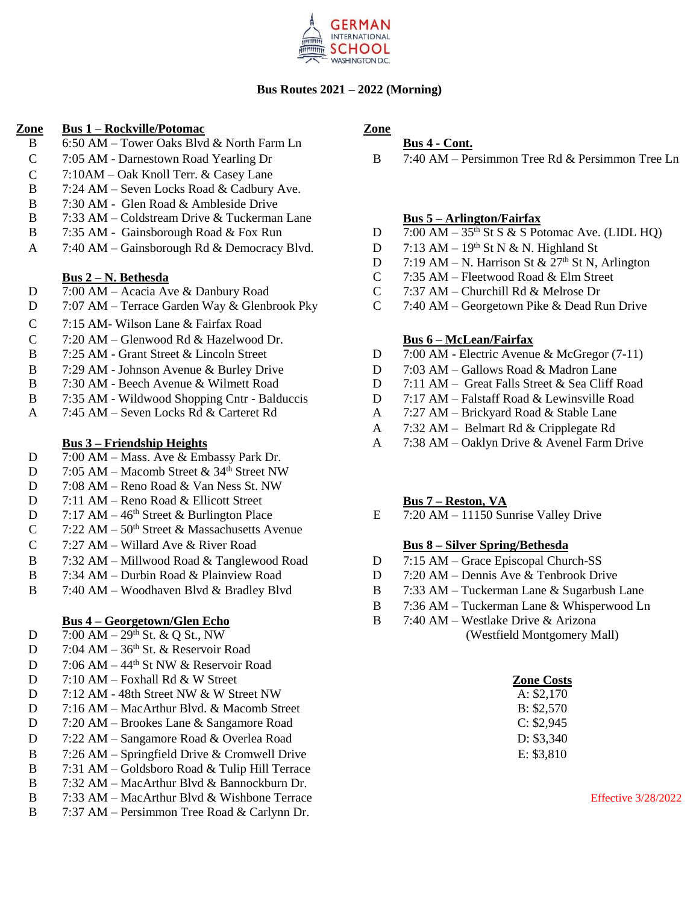

# **Bus Routes 2021 – 2022 (Morning)**

### **Zone Bus 1 – Rockville/Potomac Zone**

- B 6:50 AM Tower Oaks Blvd & North Farm Ln **Bus 4 - Cont.**
- 
- C 7:10AM – Oak Knoll Terr. & Casey Lane
- B 7:24 AM – Seven Locks Road & Cadbury Ave.
- B 7:30 AM Glen Road & Ambleside Drive
- B 7:33 AM Coldstream Drive & Tuckerman Lane **Bus 5 – Arlington/Fairfax**
- 
- A 7:40 AM Gainsborough Rd & Democracy Blvd. D

### **Bus 2 – N. Bethesda**

- D 7:00 AM – Acacia Ave & Danbury Road
- D 7:07 AM Terrace Garden Way & Glenbrook Pky C 7:40 AM Georgetown Pike & Dead Run Drive
- C 7:15 AM- Wilson Lane & Fairfax Road
- C 7:20 AM Glenwood Rd & Hazelwood Dr. **Bus 6 – McLean/Fairfax**
- 
- B 7:29 AM Johnson Avenue & Burley Drive D 7:03 AM Gallows Road & Madron Lane
- 
- B 7:35 AM Wildwood Shopping Cntr Balduccis D 7:17 AM Falstaff Road & Lewinsville Road
- A 7:45 AM Seven Locks Rd & Carteret Rd  $A$  7:27 AM Brickyard Road & Stable Lane

- D 7:00 AM Mass. Ave & Embassy Park Dr.
- D 7:05 AM Macomb Street &  $34<sup>th</sup>$  Street NW
- D 7:08 AM Reno Road & Van Ness St. NW
- D 7:11 AM Reno Road & Ellicott Street **Bus 7 – Reston, VA**
- D  $7:17 \text{ AM} 46^{\text{th}}$  Street & Burlington Place  $E = 7:20 \text{ AM} 11150$  Sunrise Valley Drive
- $C = 7:22$  AM 50<sup>th</sup> Street & Massachusetts Avenue
- C 7:27 AM Willard Ave & River Road **Bus 8 – Silver Spring/Bethesda**
- B 7:32 AM Millwood Road & Tanglewood Road D 7:15 AM Grace Episcopal Church-SS
- B 7:34 AM Durbin Road & Plainview Road D 7:20 AM Dennis Ave & Tenbrook Drive
- 

- $D = 7:00 \text{ AM} 29^{\text{th}}$  St. & Q St., NW (Westfield Montgomery Mall)
- D  $7:04$  AM  $36<sup>th</sup>$  St. & Reservoir Road
- D  $7:06$  AM 44<sup>th</sup> St NW & Reservoir Road
- D 7:10 AM Foxhall Rd & W Street **Zone Costs**
- $D$  7:12 AM 48th Street NW & W Street NW
- D  $7:16$  AM MacArthur Blvd. & Macomb Street
- D  $7:20$  AM Brookes Lane & Sangamore Road
- D 7:22 AM Sangamore Road & Overlea Road
- B  $7:26$  AM Springfield Drive & Cromwell Drive
- B 7:31 AM Goldsboro Road & Tulip Hill Terrace
- B 7:32 AM MacArthur Blvd & Bannockburn Dr.
- B 7:33 AM MacArthur Blvd & Wishbone Terrace Effective 3/28/2022
- B 7:37 AM Persimmon Tree Road & Carlynn Dr.

C 7:05 AM - Darnestown Road Yearling Dr B 7:40 AM – Persimmon Tree Rd & Persimmon Tree Ln

- B 7:35 AM Gainsborough Road & Fox Run D  $7:00$  AM  $35<sup>th</sup>$  St S & S Potomac Ave. (LIDL HQ)
	- 7:13 AM  $-19<sup>th</sup>$  St N & N. Highland St
	- D 7:19 AM – N. Harrison St &  $27<sup>th</sup>$  St N, Arlington
	- C 7:35 AM – Fleetwood Road & Elm Street
	- $\mathcal{C}$ 7:37 AM – Churchill Rd & Melrose Dr
	-

- B 7:25 AM Grant Street & Lincoln Street D 7:00 AM Electric Avenue & McGregor (7-11)
	-
- B 7:30 AM Beech Avenue & Wilmett Road D 7:11 AM Great Falls Street & Sea Cliff Road
	-
	-
	- A 7:32 AM Belmart Rd & Cripplegate Rd
	- **Bus 3 Friendship Heights A** 7:38 AM Oaklyn Drive & Avenel Farm Drive

- 
- 
- B 7:40 AM Woodhaven Blvd & Bradley Blvd B 7:33 AM Tuckerman Lane & Sugarbush Lane
	- B 7:36 AM Tuckerman Lane & Whisperwood Ln
	- **<u>Bus 4 Georgetown/Glen Echo</u>** B 7:40 AM Westlake Drive & Arizona

| A: \$2,170 |
|------------|
| B: \$2,570 |
| C: \$2,945 |
| D: \$3,340 |
| E: \$3,810 |